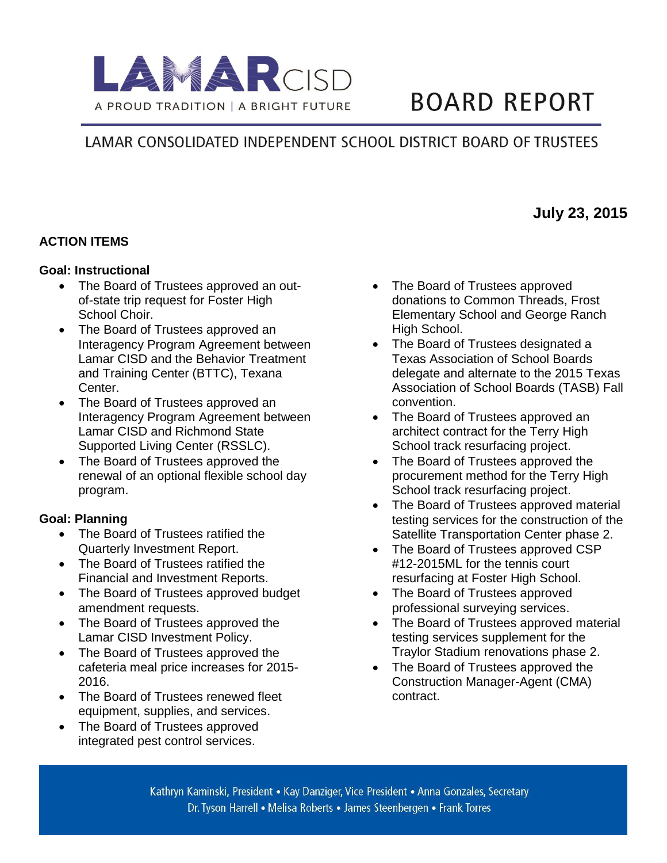

# **BOARD REPORT**

# LAMAR CONSOLIDATED INDEPENDENT SCHOOL DISTRICT BOARD OF TRUSTEES

# **MAAJuly 23, 2015**

#### **ACTION ITEMS**

#### **Goal: Instructional**

- The Board of Trustees approved an outof-state trip request for Foster High School Choir.
- The Board of Trustees approved an Interagency Program Agreement between Lamar CISD and the Behavior Treatment and Training Center (BTTC), Texana Center.
- The Board of Trustees approved an Interagency Program Agreement between Lamar CISD and Richmond State Supported Living Center (RSSLC).
- The Board of Trustees approved the renewal of an optional flexible school day program.

#### **Goal: Planning**

- The Board of Trustees ratified the Quarterly Investment Report.
- The Board of Trustees ratified the Financial and Investment Reports.
- The Board of Trustees approved budget amendment requests.
- The Board of Trustees approved the Lamar CISD Investment Policy.
- The Board of Trustees approved the cafeteria meal price increases for 2015- 2016.
- The Board of Trustees renewed fleet equipment, supplies, and services.
- The Board of Trustees approved integrated pest control services.
- The Board of Trustees approved donations to Common Threads, Frost Elementary School and George Ranch High School.
- The Board of Trustees designated a Texas Association of School Boards delegate and alternate to the 2015 Texas Association of School Boards (TASB) Fall convention.
- The Board of Trustees approved an architect contract for the Terry High School track resurfacing project.
- The Board of Trustees approved the procurement method for the Terry High School track resurfacing project.
- The Board of Trustees approved material testing services for the construction of the Satellite Transportation Center phase 2.
- The Board of Trustees approved CSP #12-2015ML for the tennis court resurfacing at Foster High School.
- The Board of Trustees approved professional surveying services.
- The Board of Trustees approved material testing services supplement for the Traylor Stadium renovations phase 2.
- The Board of Trustees approved the Construction Manager-Agent (CMA) contract.

Kathryn Kaminski, President • Kay Danziger, Vice President • Anna Gonzales, Secretary Dr. Tyson Harrell • Melisa Roberts • James Steenbergen • Frank Torres